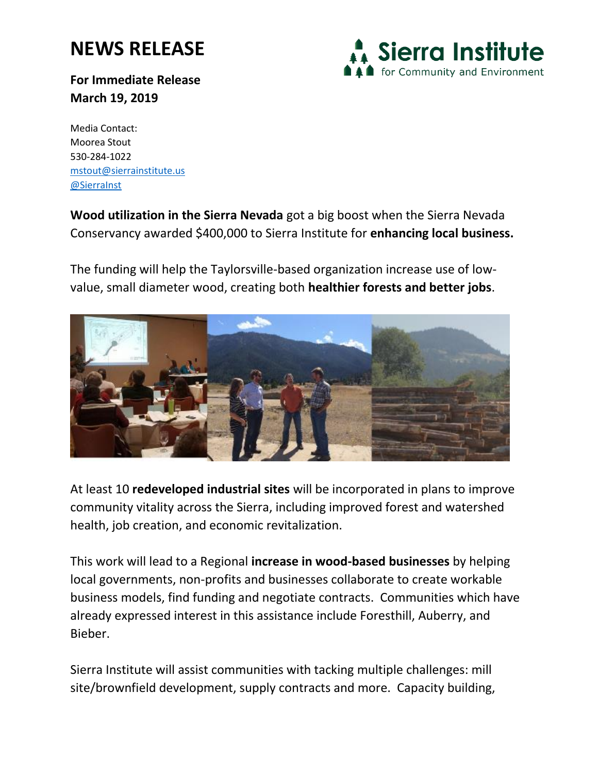## **NEWS RELEASE**

**Sierra Institute** for Community and Environment

**For Immediate Release March 19, 2019**

Media Contact: Moorea Stout 530-284-1022 <mstout@sierrainstitute.us> [@SierraInst](https://twitter.com/SierraInst)

**Wood utilization in the Sierra Nevada** got a big boost when the Sierra Nevada Conservancy awarded \$400,000 to Sierra Institute for **enhancing local business.**

The funding will help the Taylorsville-based organization increase use of lowvalue, small diameter wood, creating both **healthier forests and better jobs**.



At least 10 **redeveloped industrial sites** will be incorporated in plans to improve community vitality across the Sierra, including improved forest and watershed health, job creation, and economic revitalization.

This work will lead to a Regional **increase in wood-based businesses** by helping local governments, non-profits and businesses collaborate to create workable business models, find funding and negotiate contracts. Communities which have already expressed interest in this assistance include Foresthill, Auberry, and Bieber.

Sierra Institute will assist communities with tacking multiple challenges: mill site/brownfield development, supply contracts and more. Capacity building,